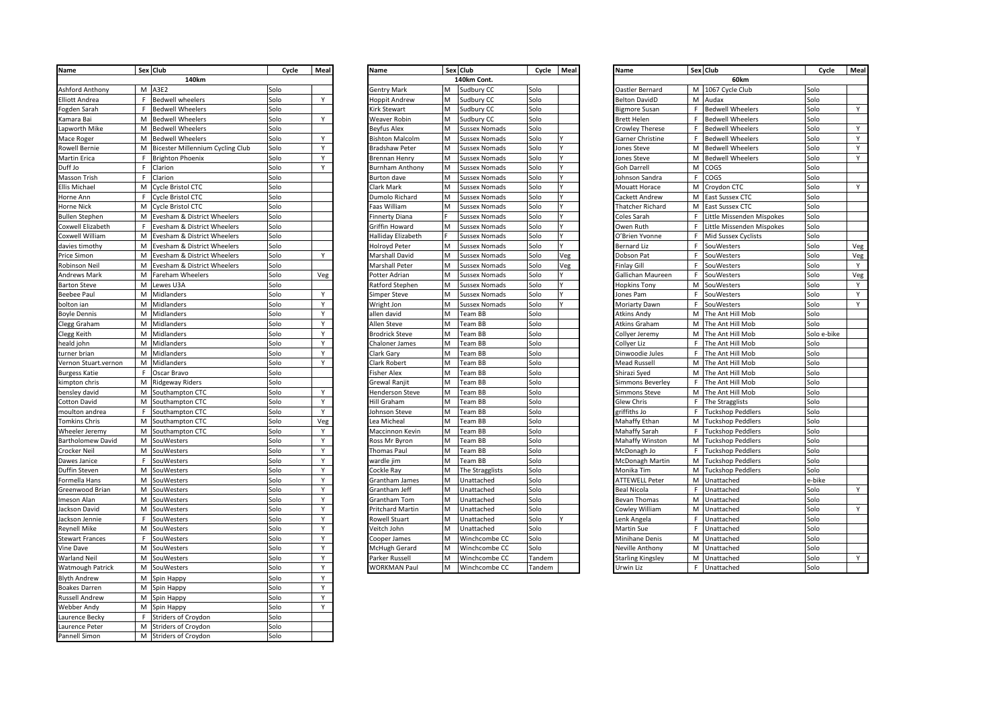| Name                   | Sex Club                           | Cycle | Meal         | <b>Name</b>             |    | Sex Club             | Cycle  | Meal | Name                    |    | Sex Club                    | Cycle       | Meal |
|------------------------|------------------------------------|-------|--------------|-------------------------|----|----------------------|--------|------|-------------------------|----|-----------------------------|-------------|------|
|                        | 140km                              |       |              |                         |    | 140km Cont.          |        |      |                         |    | 60km                        |             |      |
| <b>Ashford Anthony</b> | M A3E2                             | Solo  |              | <b>Gentry Mark</b>      | M  | Sudbury CC           | Solo   |      | Oastler Bernard         |    | M 1067 Cycle Club           | Solo        |      |
| <b>Elliott Andrea</b>  | F Bedwell wheelers                 | Solo  | Y            | <b>Hoppit Andrew</b>    | M  | Sudbury CC           | Solo   |      | <b>Belton DavidD</b>    |    | M Audax                     | Solo        |      |
| Fogden Sarah           | F<br><b>Bedwell Wheelers</b>       | Solo  |              | Kirk Stewart            | M  | Sudbury CC           | Solo   |      | <b>Bigmore Susan</b>    |    | F Bedwell Wheelers          | Solo        | Y    |
| Kamara Bai             | M<br><b>Bedwell Wheelers</b>       | Solo  | Y            | Weaver Robin            | M  | Sudbury CC           | Solo   |      | Brett Helen             | F  | <b>Bedwell Wheelers</b>     | Solo        |      |
| Lapworth Mike          | M<br><b>Bedwell Wheelers</b>       | Solo  |              | Beyfus Alex             | M  | Sussex Nomads        | Solo   |      | crowley Therese         | F  | <b>Bedwell Wheelers</b>     | Solo        | Y    |
| Mace Roger             | M<br><b>Bedwell Wheelers</b>       | Solo  | Y            | <b>Bishton Malcolm</b>  | M  | <b>Sussex Nomads</b> | Solo   |      | Garner Christine        |    | F Bedwell Wheelers          | Solo        | Y    |
| <b>Rowell Bernie</b>   | M Bicester Millennium Cycling Club | Solo  | Y            | Bradshaw Peter          | M  | Sussex Nomads        | Solo   |      | ones Steve              | М  | <b>Bedwell Wheelers</b>     | Solo        | Y    |
| <b>Martin Erica</b>    | F<br><b>Brighton Phoenix</b>       | Solo  | Y            | <b>Brennan Henry</b>    | M  | <b>Sussex Nomads</b> | Solo   |      | ones Steve              |    | M Bedwell Wheelers          | Solo        | Y    |
| Duff Jo                | $\mathsf F$<br>Clarion             | Solo  | $\mathsf{v}$ | Burnham Anthony         | м  | <b>Sussex Nomads</b> | Solo   |      | Goh Darrell             |    | M COGS                      | Solo        |      |
| Masson Trish           | F<br>Clarion                       | Solo  |              | <b>Burton dave</b>      | M  | <b>Sussex Nomads</b> | Solo   |      | ohnson Sandra           |    | F COGS                      | Solo        |      |
| <b>Ellis Michael</b>   | M Cycle Bristol CTC                | Solo  |              | Clark Mark              | M  | <b>Sussex Nomads</b> | Solo   |      | Mouatt Horace           |    | M Croydon CTC               | Solo        | Y    |
| Horne Ann              | F<br>Cycle Bristol CTC             | Solo  |              | Dumolo Richard          | M  | <b>Sussex Nomads</b> | Solo   |      | Cackett Andrew          |    | M East Sussex CTC           | Solo        |      |
| <b>Horne Nick</b>      | M Cycle Bristol CTC                | Solo  |              | Faas William            | M  | <b>Sussex Nomads</b> | Solo   |      | Thatcher Richard        |    | M East Sussex CTC           | Solo        |      |
|                        | M                                  | Solo  |              |                         | F. |                      | Solo   |      |                         |    |                             | Solo        |      |
| <b>Bullen Stephen</b>  | Evesham & District Wheelers        |       |              | <b>Finnerty Diana</b>   |    | <b>Sussex Nomads</b> |        |      | Coles Sarah             |    | F Little Missenden Mispokes |             |      |
| Coxwell Elizabeth      | F Evesham & District Wheelers      | Solo  |              | Griffin Howard          | M  | <b>Sussex Nomads</b> | Solo   |      | Owen Ruth               |    | F Little Missenden Mispokes | Solo        |      |
| Coxwell William        | M Evesham & District Wheelers      | Solo  |              | Halliday Elizabeth      |    | <b>Sussex Nomads</b> | Solo   |      | O'Brien Yvonne          |    | F Mid Sussex Cyclists       | Solo        |      |
| davies timothy         | M Evesham & District Wheelers      | Solo  |              | Holroyd Peter           | M  | Sussex Nomads        | Solo   |      | Bernard Liz             |    | F SouWesters                | Solo        | Veg  |
| Price Simon            | M<br>Evesham & District Wheelers   | Solo  | Y            | Marshall David          | M  | <b>Sussex Nomads</b> | Solo   | Veg  | Oobson Pat              | F  | SouWesters                  | Solo        | Veg  |
| Robinson Neil          | M Evesham & District Wheelers      | Solo  |              | Marshall Peter          | M  | <b>Sussex Nomads</b> | Solo   | /eg  | inlay Gill <sup>:</sup> | F. | SouWesters                  | Solo        | Y    |
| <b>Andrews Mark</b>    | M Fareham Wheelers                 | Solo  | Veg          | Potter Adrian           | м  | Sussex Nomads        | Solo   |      | Gallichan Maureen       |    | F SouWesters                | Solo        | Veg  |
| <b>Barton Steve</b>    | M Lewes U3A                        | Solo  |              | Ratford Stephen         | M  | <b>Sussex Nomads</b> | Solo   |      | lopkins Tony            |    | M SouWesters                | Solo        | Y    |
| <b>Beebee Paul</b>     | M Midlanders                       | Solo  | Y            | Simper Steve            | м  | Sussex Nomads        | Solo   |      | ones Pam                |    | F SouWesters                | Solo        | Y    |
| bolton ian             | M Midlanders                       | Solo  | Y            | Wright Jon              | M  | <b>Sussex Nomads</b> | Solo   |      | Moriarty Dawn           |    | F SouWesters                | Solo        | Y    |
| <b>Boyle Dennis</b>    | M Midlanders                       | Solo  | Y            | allen david             | M  | Team BB              | Solo   |      | tkins Andy              |    | M The Ant Hill Mob          | Solo        |      |
| Clegg Graham           | M<br>Midlanders                    | Solo  | Y            | Allen Steve             | M  | Team BB              | Solo   |      | Atkins Graham           |    | M The Ant Hill Mob          | Solo        |      |
| Clegg Keith            | M Midlanders                       | Solo  | Y            | Brodrick Steve          | M  | Team BB              | Solo   |      | Collyer Jeremy          |    | M The Ant Hill Mob          | Solo e-bike |      |
| heald john             | M<br>Midlanders                    | Solo  | Y            | Chaloner James          | M  | Team BB              | Solo   |      | Collyer Liz             |    | F The Ant Hill Mob          | Solo        |      |
| turner brian           | M Midlanders                       | Solo  | Y            | Clark Gary              | M  | Team BB              | Solo   |      | Dinwoodie Jules         |    | F The Ant Hill Mob          | Solo        |      |
| Vernon Stuart.vernon   | M Midlanders                       | Solo  | Y            | Clark Robert            | M  | Team BB              | Solo   |      | Mead Russell            |    | M The Ant Hill Mob          | Solo        |      |
| <b>Burgess Katie</b>   | F<br>Oscar Bravo                   | Solo  |              | Fisher Alex             | M  | Team BB              | Solo   |      | Shirazi Syed            |    | M The Ant Hill Mob          | Solo        |      |
|                        |                                    | Solo  |              |                         |    |                      | Solo   |      |                         |    |                             |             |      |
| kimpton chris          | M<br><b>Ridgeway Riders</b>        |       |              | Grewal Ranjit           | M  | Team BB              |        |      | immons Beverley         |    | F The Ant Hill Mob          | Solo        |      |
| bensley david          | M<br>Southampton CTC               | Solo  | Y            | <b>Henderson Steve</b>  | M  | Team BB              | Solo   |      | immons Steve            |    | M The Ant Hill Mob          | Solo        |      |
| Cotton David           | M<br>Southampton CTC               | Solo  | Y            | Hill Graham             | M  | Team BB              | Solo   |      | ilew Chris              |    | F The Stragglists           | Solo        |      |
| moulton andrea         | F.<br>Southampton CTC              | Solo  | Y            | Iohnson Steve           | M  | Team BB              | Solo   |      | riffiths Jo             |    | F Tuckshop Peddlers         | Solo        |      |
| <b>Tomkins Chris</b>   | M<br>Southampton CTC               | Solo  | Veg          | Lea Micheal             | м  | Team BB              | Solo   |      | Mahaffy Ethan           |    | M Tuckshop Peddlers         | Solo        |      |
| Wheeler Jeremy         | M<br>Southampton CTC               | Solo  | Y            | Maccinnon Kevin         | M  | Team BB              | Solo   |      | <b>Mahaffy Sarah</b>    |    | F Tuckshop Peddlers         | Solo        |      |
| Bartholomew David      | M<br>SouWesters                    | Solo  | Y            | Ross Mr Byron           | M  | Team BB              | Solo   |      | <b>Mahaffy Winston</b>  |    | M Tuckshop Peddlers         | Solo        |      |
| Crocker Neil           | M<br>SouWesters                    | Solo  | Y            | Thomas Paul             | M  | Team BB              | Solo   |      | AcDonagh Jo             |    | F Tuckshop Peddlers         | Solo        |      |
| Dawes Janice           | F<br>SouWesters                    | Solo  | Y            | wardle jim              | M  | Team BB              | Solo   |      | <b>McDonagh Martin</b>  |    | M Tuckshop Peddlers         | Solo        |      |
| Duffin Steven          | M<br>SouWesters                    | Solo  | Y            | Cockle Ray              | M  | The Stragglists      | Solo   |      | Monika Tim              |    | M Tuckshop Peddlers         | Solo        |      |
| Formella Hans          | M SouWesters                       | Solo  | Y            | Grantham James          | M  | Unattached           | Solo   |      | <b>ATTEWELL Peter</b>   |    | M Unattached                | e-bike      |      |
| Greenwood Brian        | M SouWesters                       | Solo  | Y            | Grantham Jeff           | M  | Unattached           | Solo   |      | Beal Nicola             |    | F Unattached                | Solo        | Y    |
| Imeson Alan            | M SouWesters                       | Solo  | Y            | Grantham Tom            | M  | Unattached           | Solo   |      | Bevan Thomas            |    | M Unattached                | Solo        |      |
| Jackson David          | M<br>SouWesters                    | Solo  | Y            | <b>Pritchard Martin</b> | M  | Unattached           | Solo   |      | Cowley William          |    | M Unattached                | Solo        | Y    |
| Jackson Jennie         | F<br>SouWesters                    | Solo  | Y            | Rowell Stuart           | M  | Unattached           | Solo   |      | enk Angela              |    | F Unattached                | Solo        |      |
| <b>Reynell Mike</b>    | M<br>SouWesters                    | Solo  | Y            | Veitch John             | м  | Unattached           | Solo   |      | Aartin Sue              |    | F Unattached                | Solo        |      |
| <b>Stewart Frances</b> | F<br>SouWesters                    | Solo  | Y            | Cooper James            | M  | Winchcombe CC        | Solo   |      | Minihane Denis          |    | M Unattached                | Solo        |      |
| Vine Dave              | M<br>SouWesters                    | Solo  | Y            | McHugh Gerard           | м  | Winchcombe CC        | Solo   |      | <b>Neville Anthony</b>  |    | M Unattached                | Solo        |      |
| <b>Warland Neil</b>    | M<br>SouWesters                    | Solo  | Y            | Parker Russell          | M  | Winchcombe CC        | Tandem |      | Starling Kingsley       |    | M Unattached                | Solo        | Y    |
|                        | M SouWesters                       | Solo  | Y            | <b>WORKMAN Paul</b>     | M  |                      | Tandem |      |                         |    |                             | Solo        |      |
| Watmough Patrick       |                                    |       | Y            |                         |    | Winchcombe CC        |        |      | Jrwin Liz               |    | F Unattached                |             |      |
| <b>Blyth Andrew</b>    | M<br>Spin Happy                    | Solo  |              |                         |    |                      |        |      |                         |    |                             |             |      |
| <b>Boakes Darren</b>   | M Spin Happy                       | Solo  | Y            |                         |    |                      |        |      |                         |    |                             |             |      |
| <b>Russell Andrew</b>  | M Spin Happy                       | Solo  | Y            |                         |    |                      |        |      |                         |    |                             |             |      |
| <b>Webber Andy</b>     | M Spin Happy                       | Solo  | Y            |                         |    |                      |        |      |                         |    |                             |             |      |
| Laurence Becky         | <b>Striders of Croydon</b><br>F.   | Solo  |              |                         |    |                      |        |      |                         |    |                             |             |      |
| Laurence Peter         | M<br>Striders of Croydon           | Solo  |              |                         |    |                      |        |      |                         |    |                             |             |      |
| Pannell Simon          | M Striders of Croydon              | Solo  |              |                         |    |                      |        |      |                         |    |                             |             |      |

|                          | Cycle | Meal | Name                   |   | Sex Club             | Cycle  | Meal | Name                     |   | Sex Club             |
|--------------------------|-------|------|------------------------|---|----------------------|--------|------|--------------------------|---|----------------------|
| 140km                    |       |      |                        |   | 140km Cont.          |        |      |                          |   | 60km                 |
|                          | Solo  |      | Gentry Mark            | M | Sudbury CC           | Solo   |      | Oastler Bernard          | M | 1067 Cycle Clul      |
| eelers                   | Solo  | Y    | <b>Hoppit Andrew</b>   | M | Sudbury CC           | Solo   |      | <b>Belton DavidD</b>     | M | Audax                |
| heelers                  | Solo  |      | irk Stewart)           | M | Sudbury CC           | Solo   |      | Bigmore Susan            | F | <b>Bedwell Wheel</b> |
| heelers                  | Solo  | Υ    | Weaver Robin           | M | Sudbury CC           | Solo   |      | <b>Brett Helen</b>       | F | <b>Bedwell Wheel</b> |
| heelers                  | Solo  |      | Beyfus Alex            | M | <b>Sussex Nomads</b> | Solo   |      | <b>Crowley Therese</b>   | F | <b>Bedwell Wheel</b> |
| heelers                  | Solo  | Υ    | <b>Bishton Malcolm</b> | M | <b>Sussex Nomads</b> | Solo   | Y    | Garner Christine         | F | <b>Bedwell Wheel</b> |
| illennium Cycling Club   | Solo  | Υ    | <b>Bradshaw Peter</b>  | M | <b>Sussex Nomads</b> | Solo   | Y    | Jones Steve              | M | <b>Bedwell Wheel</b> |
| hoenix                   | Solo  | Υ    | <b>Brennan Henry</b>   | M | <b>Sussex Nomads</b> | Solo   | Y    | Jones Steve              | M | <b>Bedwell Wheel</b> |
|                          | Solo  | Y    | <b>Burnham Anthony</b> | M | <b>Sussex Nomads</b> | Solo   | Y    | Goh Darrell              | M | COGS                 |
|                          | Solo  |      | <b>Burton dave</b>     | M | <b>Sussex Nomads</b> | Solo   |      | Johnson Sandra           | F | COGS                 |
| ol CTC                   | Solo  |      | Clark Mark             | M | <b>Sussex Nomads</b> | Solo   | Y    | Mouatt Horace            | M | Croydon CTC          |
| ol CTC                   | Solo  |      | Dumolo Richard         | M | <b>Sussex Nomads</b> | Solo   | Υ    | Cackett Andrew           | M | East Sussex CTO      |
| ol CTC                   | Solo  |      | Faas William           | M | <b>Sussex Nomads</b> | Solo   | Y    | <b>Thatcher Richard</b>  | M | East Sussex CTO      |
| <b>District Wheelers</b> | Solo  |      | Finnerty Diana         | F | <b>Sussex Nomads</b> | Solo   | Y    | Coles Sarah              | F | Little Missende      |
| <b>District Wheelers</b> | Solo  |      | Griffin Howard         | M | <b>Sussex Nomads</b> | Solo   | Y    | Owen Ruth                | F | Little Missende      |
| <b>District Wheelers</b> | Solo  |      | Halliday Elizabeth     | F | <b>Sussex Nomads</b> | Solo   | Y    | O'Brien Yvonne           | F | Mid Sussex Cyc       |
| <b>District Wheelers</b> | Solo  |      | <b>Holroyd Peter</b>   | M | <b>Sussex Nomads</b> | Solo   | Y    | <b>Bernard Liz</b>       | F | SouWesters           |
| <b>District Wheelers</b> | Solo  | Y    | Marshall David         | M | <b>Sussex Nomads</b> | Solo   | Veg  | Dobson Pat               | F | SouWesters           |
| District Wheelers        | Solo  |      | Marshall Peter         | M | <b>Sussex Nomads</b> | Solo   | Veg  | Finlay Gill              | F | SouWesters           |
| heelers                  | Solo  | Veg  | Potter Adrian          | M | <b>Sussex Nomads</b> | Solo   | Υ    | Gallichan Maureen        | F | SouWesters           |
|                          | Solo  |      | Ratford Stephen        | M | <b>Sussex Nomads</b> | Solo   | Y    | <b>Hopkins Tony</b>      | M | SouWesters           |
|                          | Solo  | Υ    | Simper Steve           | M | <b>Sussex Nomads</b> | Solo   | Y    | Jones Pam                | F | SouWesters           |
|                          | Solo  | Υ    | Wright Jon             | M | <b>Sussex Nomads</b> | Solo   | Y    | Moriarty Dawn            | F | SouWesters           |
|                          | Solo  | Υ    | allen david            | M | Team BB              | Solo   |      | Atkins Andy              | M | The Ant Hill Mo      |
|                          | Solo  | Υ    | Allen Steve            | M | Team BB              | Solo   |      | Atkins Graham            | M | The Ant Hill Mo      |
|                          | Solo  | Υ    | <b>Brodrick Steve</b>  | M | Team BB              | Solo   |      | Collyer Jeremy           | M | The Ant Hill Mo      |
|                          | Solo  | Y    | Chaloner James         | M | Team BB              | Solo   |      | Collyer Liz              | F | The Ant Hill Mo      |
|                          | Solo  | Υ    | Clark Gary             | M | Team BB              | Solo   |      | Dinwoodie Jules          | F | The Ant Hill Mo      |
|                          | Solo  | Y    | <b>Clark Robert</b>    | M | Team BB              | Solo   |      | Mead Russell             | M | The Ant Hill Mo      |
| Ő                        | Solo  |      | <b>Fisher Alex</b>     | M | Team BB              | Solo   |      | Shirazi Syed             | M | The Ant Hill Mo      |
| liders                   | Solo  |      | Grewal Ranjit          | M | Team BB              | Solo   |      | Simmons Beverley         | F | The Ant Hill Mo      |
| on CTC                   | Solo  | Υ    | <b>Henderson Steve</b> | M | Team BB              | Solo   |      | <b>Simmons Steve</b>     | M | The Ant Hill Mo      |
| on CTC                   | Solo  | Υ    | Hill Graham            | M | Team BB              | Solo   |      | Glew Chris               | F | The Stragglists      |
| on CTC                   | Solo  | Y    | Johnson Steve          | M | Team BB              | Solo   |      | griffiths Jo             | F | <b>Tuckshop Pedd</b> |
| on CTC                   | Solo  | Veg  | ea Micheal             | M | Team BB              | Solo   |      | Mahaffy Ethan            | M | <b>Tuckshop Pedd</b> |
| on CTC                   | Solo  | Y    | Maccinnon Kevin        | M | Team BB              | Solo   |      | Mahaffy Sarah            | F | Tuckshop Pedd        |
|                          | Solo  | Υ    | Ross Mr Byron          | M | Team BB              | Solo   |      | Mahaffy Winston          | M | <b>Tuckshop Pedd</b> |
| s                        | Solo  | Υ    | <b>Thomas Paul</b>     | M | Team BB              | Solo   |      | McDonagh Jo              | F | <b>Tuckshop Pedd</b> |
|                          | Solo  | Υ    | wardle jim             | M | Team BB              | Solo   |      | McDonagh Martin          | M | <b>Tuckshop Pedd</b> |
| S                        | Solo  | Y    | Cockle Ray             | M | The Stragglists      | Solo   |      | Monika Tim               | M | Tuckshop Pedd        |
|                          | Solo  | Υ    | Grantham James         | M | Unattached           | Solo   |      | <b>ATTEWELL Peter</b>    | M | Unattached           |
|                          | Solo  | Υ    | Grantham Jeff          | M | Unattached           | Solo   |      | Beal Nicola              | F | Unattached           |
|                          | Solo  | Y    | Grantham Tom           | M | Unattached           | Solo   |      | Bevan Thomas             | M | Unattached           |
|                          | Solo  | Υ    | Pritchard Martin       | M | Unattached           | Solo   |      | Cowley William           | M | Unattached           |
|                          | Solo  | Υ    | Rowell Stuart          | M | Unattached           | Solo   |      | Lenk Angela              | F | Unattached           |
|                          | Solo  | Y    | Veitch John            | M | Unattached           | Solo   |      | Martin Sue               | F | Unattached           |
|                          | Solo  | Y    | Cooper James           | M | Winchcombe CC        | Solo   |      | Minihane Denis           | M | Unattached           |
|                          | Solo  | Υ    | McHugh Gerard          | M | Winchcombe CC        | Solo   |      | Neville Anthony          | M | Unattached           |
|                          | Solo  | Υ    | Parker Russell         | M | Winchcombe CC        | Tandem |      | <b>Starling Kingsley</b> | M | Unattached           |
|                          | Solo  | Υ    | <b>WORKMAN Paul</b>    | M | Winchcombe CC        | Tandem |      | Urwin Liz                | F | Unattached           |

| Name                     |    | Sex Club                  | Cycle       | Meal |
|--------------------------|----|---------------------------|-------------|------|
|                          |    | 60km                      |             |      |
| Oastler Bernard          | М  | 1067 Cycle Club           | Solo        |      |
| <b>Belton DavidD</b>     | M  | Audax                     | Solo        |      |
| <b>Bigmore Susan</b>     | F  | <b>Bedwell Wheelers</b>   | Solo        | Υ    |
| <b>Brett Helen</b>       | F  | <b>Bedwell Wheelers</b>   | Solo        |      |
| <b>Crowley Therese</b>   | F  | <b>Bedwell Wheelers</b>   | Solo        | Υ    |
| Garner Christine         | F  | <b>Bedwell Wheelers</b>   | Solo        | Υ    |
| Jones Steve              | м  | <b>Bedwell Wheelers</b>   | Solo        | Υ    |
| Jones Steve              | M  | <b>Bedwell Wheelers</b>   | Solo        | Y    |
| Goh Darrell              | М  | COGS                      | Solo        |      |
| Johnson Sandra           | F  | COGS                      | Solo        |      |
| Mouatt Horace            | M  | Croydon CTC               | Solo        | Y    |
| Cackett Andrew           | M  | East Sussex CTC           | Solo        |      |
| Thatcher Richard         | M  | East Sussex CTC           | Solo        |      |
| Coles Sarah              | F  | Little Missenden Mispokes | Solo        |      |
| Owen Ruth                | F  | Little Missenden Mispokes | Solo        |      |
| O'Brien Yvonne           | F  | Mid Sussex Cyclists       | Solo        |      |
| Bernard Liz              | F  | SouWesters                | Solo        | Veg  |
| Dobson Pat               | F  | SouWesters                | Solo        | Veg  |
| <b>Finlay Gill</b>       | F  | SouWesters                | Solo        | Υ    |
| Gallichan Maureen        | F  | SouWesters                | Solo        | Veg  |
| <b>Hopkins Tony</b>      | M  | SouWesters                | Solo        | Υ    |
| Jones Pam                | F  | SouWesters                | Solo        | Υ    |
| Moriarty Dawn            | F  | SouWesters                | Solo        | Υ    |
| Atkins Andy              | M  | The Ant Hill Mob          | Solo        |      |
| Atkins Graham            | М  | The Ant Hill Mob          | Solo        |      |
| Collyer Jeremy           | M  | The Ant Hill Mob          | Solo e-bike |      |
| Collyer Liz              | F  | The Ant Hill Mob          | Solo        |      |
| Dinwoodie Jules          | F  | The Ant Hill Mob          | Solo        |      |
| Mead Russell             | M  | The Ant Hill Mob          | Solo        |      |
| Shirazi Syed             | M  | The Ant Hill Mob          | Solo        |      |
| Simmons Beverley         | F  | The Ant Hill Mob          | Solo        |      |
| <b>Simmons Steve</b>     | м  | The Ant Hill Mob          | Solo        |      |
| Glew Chris               | F  | The Stragglists           | Solo        |      |
| griffiths Jo             | F  | <b>Tuckshop Peddlers</b>  | Solo        |      |
| Mahaffy Ethan            | M  | <b>Tuckshop Peddlers</b>  | Solo        |      |
| Mahaffy Sarah            | F  | <b>Tuckshop Peddlers</b>  | Solo        |      |
| Mahaffy Winston          | M  | <b>Tuckshop Peddlers</b>  | Solo        |      |
| McDonagh Jo              | F  | <b>Tuckshop Peddlers</b>  | Solo        |      |
| McDonagh Martin          | м  | <b>Tuckshop Peddlers</b>  | Solo        |      |
| Monika Tim               | M  | <b>Tuckshop Peddlers</b>  | Solo        |      |
| <b>ATTEWELL Peter</b>    | M  | Unattached                | e-bike      |      |
| <b>Beal Nicola</b>       | F  | Unattached                | Solo        | Y    |
| Bevan Thomas             | M  | Unattached                | Solo        |      |
| Cowley William           | M  | Unattached                | Solo        | Υ    |
| Lenk Angela              | F  | Unattached                | Solo        |      |
| Martin Sue               | F  | Unattached                | Solo        |      |
| Minihane Denis           | M  | Unattached                | Solo        |      |
| Neville Anthony          | м  | Unattached                | Solo        |      |
| <b>Starling Kingsley</b> | М  | Unattached                | Solo        | Υ    |
| Urwin Liz                | F. | Unattached                | Solo        |      |